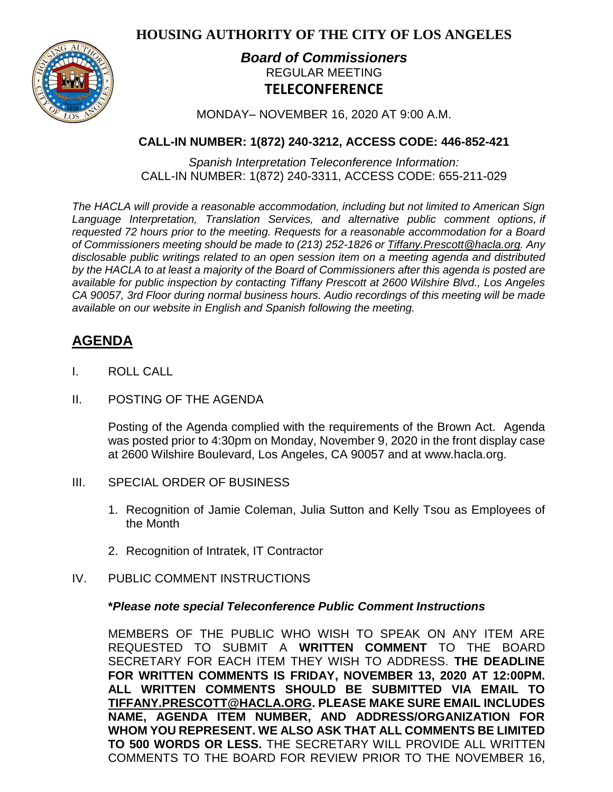**HOUSING AUTHORITY OF THE CITY OF LOS ANGELES**



# *Board of Commissioners* REGULAR MEETING **TELECONFERENCE**

MONDAY– NOVEMBER 16, 2020 AT 9:00 A.M.

## **CALL-IN NUMBER: 1(872) 240-3212, ACCESS CODE: 446-852-421**

*Spanish Interpretation Teleconference Information:* CALL-IN NUMBER: 1(872) 240-3311, ACCESS CODE: 655-211-029

*The HACLA will provide a reasonable accommodation, including but not limited to American Sign Language Interpretation, Translation Services, and alternative public comment options, if requested 72 hours prior to the meeting. Requests for a reasonable accommodation for a Board of Commissioners meeting should be made to (213) 252-1826 or Tiffany.Prescott@hacla.org. Any disclosable public writings related to an open session item on a meeting agenda and distributed by the HACLA to at least a majority of the Board of Commissioners after this agenda is posted are available for public inspection by contacting Tiffany Prescott at 2600 Wilshire Blvd., Los Angeles CA 90057, 3rd Floor during normal business hours. Audio recordings of this meeting will be made available on our website in English and Spanish following the meeting.*

# **AGENDA**

- I. ROLL CALL
- II. POSTING OF THE AGENDA

Posting of the Agenda complied with the requirements of the Brown Act. Agenda was posted prior to 4:30pm on Monday, November 9, 2020 in the front display case at 2600 Wilshire Boulevard, Los Angeles, CA 90057 and at [www.hacla.org.](http://www.hacla.org/)

- III. SPECIAL ORDER OF BUSINESS
	- 1. Recognition of Jamie Coleman, Julia Sutton and Kelly Tsou as Employees of the Month
	- 2. Recognition of Intratek, IT Contractor
- IV. PUBLIC COMMENT INSTRUCTIONS

## **\****Please note special Teleconference Public Comment Instructions*

MEMBERS OF THE PUBLIC WHO WISH TO SPEAK ON ANY ITEM ARE REQUESTED TO SUBMIT A **WRITTEN COMMENT** TO THE BOARD SECRETARY FOR EACH ITEM THEY WISH TO ADDRESS. **THE DEADLINE FOR WRITTEN COMMENTS IS FRIDAY, NOVEMBER 13, 2020 AT 12:00PM. ALL WRITTEN COMMENTS SHOULD BE SUBMITTED VIA EMAIL TO [TIFFANY.PRESCOTT@HACLA.ORG.](mailto:TIFFANY.PRESCOTT@HACLA.ORG) PLEASE MAKE SURE EMAIL INCLUDES NAME, AGENDA ITEM NUMBER, AND ADDRESS/ORGANIZATION FOR WHOM YOU REPRESENT. WE ALSO ASK THAT ALL COMMENTS BE LIMITED TO 500 WORDS OR LESS.** THE SECRETARY WILL PROVIDE ALL WRITTEN COMMENTS TO THE BOARD FOR REVIEW PRIOR TO THE NOVEMBER 16,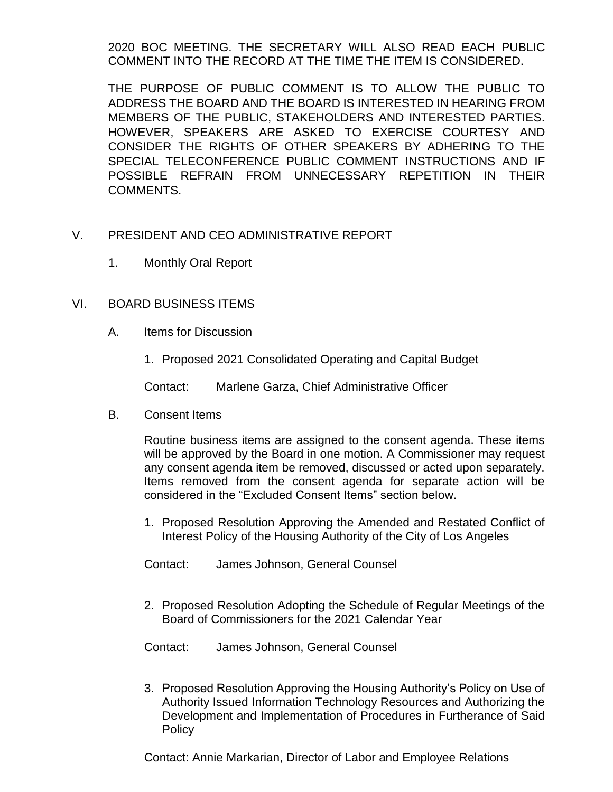2020 BOC MEETING. THE SECRETARY WILL ALSO READ EACH PUBLIC COMMENT INTO THE RECORD AT THE TIME THE ITEM IS CONSIDERED.

THE PURPOSE OF PUBLIC COMMENT IS TO ALLOW THE PUBLIC TO ADDRESS THE BOARD AND THE BOARD IS INTERESTED IN HEARING FROM MEMBERS OF THE PUBLIC, STAKEHOLDERS AND INTERESTED PARTIES. HOWEVER, SPEAKERS ARE ASKED TO EXERCISE COURTESY AND CONSIDER THE RIGHTS OF OTHER SPEAKERS BY ADHERING TO THE SPECIAL TELECONFERENCE PUBLIC COMMENT INSTRUCTIONS AND IF POSSIBLE REFRAIN FROM UNNECESSARY REPETITION IN THEIR COMMENTS.

## V. PRESIDENT AND CEO ADMINISTRATIVE REPORT

1. Monthly Oral Report

#### VI. BOARD BUSINESS ITEMS

- A. Items for Discussion
	- 1. Proposed 2021 Consolidated Operating and Capital Budget

Contact: Marlene Garza, Chief Administrative Officer

B. Consent Items

Routine business items are assigned to the consent agenda. These items will be approved by the Board in one motion. A Commissioner may request any consent agenda item be removed, discussed or acted upon separately. Items removed from the consent agenda for separate action will be considered in the "Excluded Consent Items" section below.

1. Proposed Resolution Approving the Amended and Restated Conflict of Interest Policy of the Housing Authority of the City of Los Angeles

Contact: James Johnson, General Counsel

2. Proposed Resolution Adopting the Schedule of Regular Meetings of the Board of Commissioners for the 2021 Calendar Year

Contact: James Johnson, General Counsel

3. Proposed Resolution Approving the Housing Authority's Policy on Use of Authority Issued Information Technology Resources and Authorizing the Development and Implementation of Procedures in Furtherance of Said Policy

Contact: Annie Markarian, Director of Labor and Employee Relations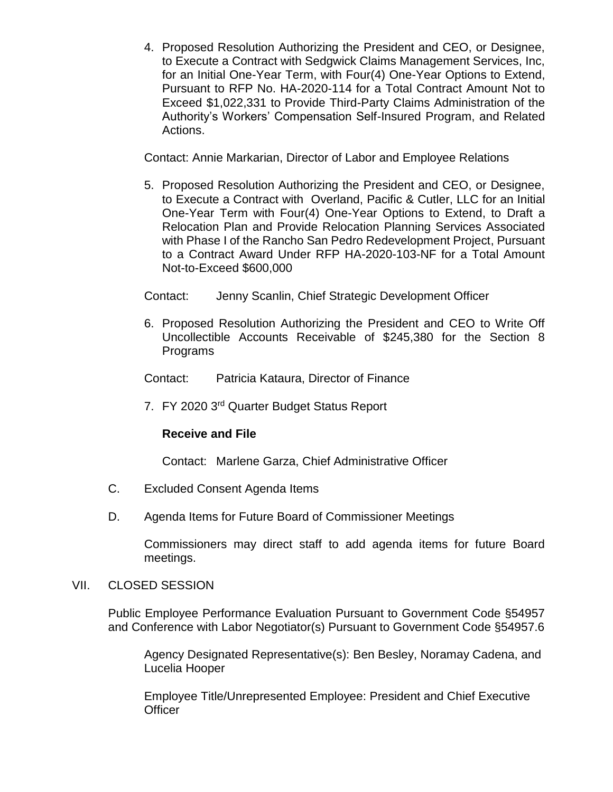4. Proposed Resolution Authorizing the President and CEO, or Designee, to Execute a Contract with Sedgwick Claims Management Services, Inc, for an Initial One-Year Term, with Four(4) One-Year Options to Extend, Pursuant to RFP No. HA-2020-114 for a Total Contract Amount Not to Exceed \$1,022,331 to Provide Third-Party Claims Administration of the Authority's Workers' Compensation Self-Insured Program, and Related Actions.

Contact: Annie Markarian, Director of Labor and Employee Relations

- 5. Proposed Resolution Authorizing the President and CEO, or Designee, to Execute a Contract with Overland, Pacific & Cutler, LLC for an Initial One-Year Term with Four(4) One-Year Options to Extend, to Draft a Relocation Plan and Provide Relocation Planning Services Associated with Phase I of the Rancho San Pedro Redevelopment Project, Pursuant to a Contract Award Under RFP HA-2020-103-NF for a Total Amount Not-to-Exceed \$600,000
- Contact: Jenny Scanlin, Chief Strategic Development Officer
- 6. Proposed Resolution Authorizing the President and CEO to Write Off Uncollectible Accounts Receivable of \$245,380 for the Section 8 Programs
- Contact: Patricia Kataura, Director of Finance
- 7. FY 2020 3rd Quarter Budget Status Report

## **Receive and File**

Contact: Marlene Garza, Chief Administrative Officer

- C. Excluded Consent Agenda Items
- D. Agenda Items for Future Board of Commissioner Meetings

Commissioners may direct staff to add agenda items for future Board meetings.

#### VII. CLOSED SESSION

Public Employee Performance Evaluation Pursuant to Government Code §54957 and Conference with Labor Negotiator(s) Pursuant to Government Code §54957.6

Agency Designated Representative(s): Ben Besley, Noramay Cadena, and Lucelia Hooper

Employee Title/Unrepresented Employee: President and Chief Executive **Officer**